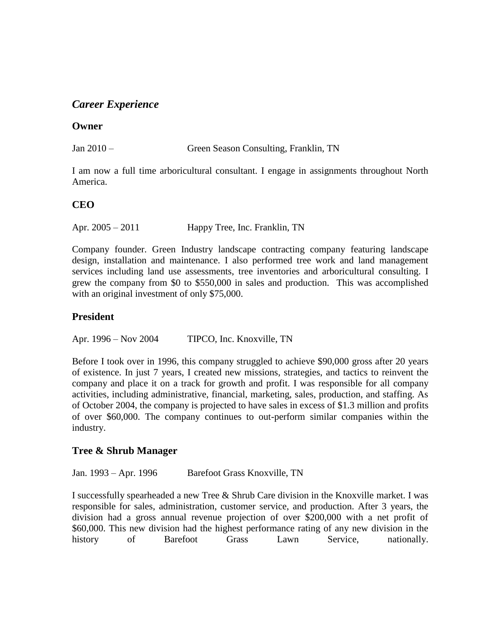# *Career Experience*

### **Owner**

Jan 2010 – Green Season Consulting, Franklin, TN

I am now a full time arboricultural consultant. I engage in assignments throughout North America.

## **CEO**

Apr. 2005 – 2011 Happy Tree, Inc. Franklin, TN

Company founder. Green Industry landscape contracting company featuring landscape design, installation and maintenance. I also performed tree work and land management services including land use assessments, tree inventories and arboricultural consulting. I grew the company from \$0 to \$550,000 in sales and production. This was accomplished with an original investment of only \$75,000.

## **President**

Apr. 1996 – Nov 2004 TIPCO, Inc. Knoxville, TN

Before I took over in 1996, this company struggled to achieve \$90,000 gross after 20 years of existence. In just 7 years, I created new missions, strategies, and tactics to reinvent the company and place it on a track for growth and profit. I was responsible for all company activities, including administrative, financial, marketing, sales, production, and staffing. As of October 2004, the company is projected to have sales in excess of \$1.3 million and profits of over \$60,000. The company continues to out-perform similar companies within the industry.

## **Tree & Shrub Manager**

Jan. 1993 – Apr. 1996 Barefoot Grass Knoxville, TN

I successfully spearheaded a new Tree & Shrub Care division in the Knoxville market. I was responsible for sales, administration, customer service, and production. After 3 years, the division had a gross annual revenue projection of over \$200,000 with a net profit of \$60,000. This new division had the highest performance rating of any new division in the history of Barefoot Grass Lawn Service, nationally.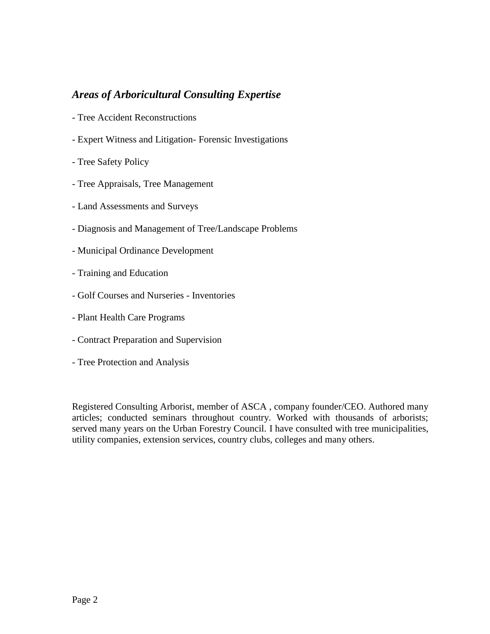# *Areas of Arboricultural Consulting Expertise*

- Tree Accident Reconstructions
- Expert Witness and Litigation- Forensic Investigations
- Tree Safety Policy
- Tree Appraisals, Tree Management
- Land Assessments and Surveys
- Diagnosis and Management of Tree/Landscape Problems
- Municipal Ordinance Development
- Training and Education
- Golf Courses and Nurseries Inventories
- Plant Health Care Programs
- Contract Preparation and Supervision
- Tree Protection and Analysis

Registered Consulting Arborist, member of ASCA , company founder/CEO. Authored many articles; conducted seminars throughout country. Worked with thousands of arborists; served many years on the Urban Forestry Council. I have consulted with tree municipalities, utility companies, extension services, country clubs, colleges and many others.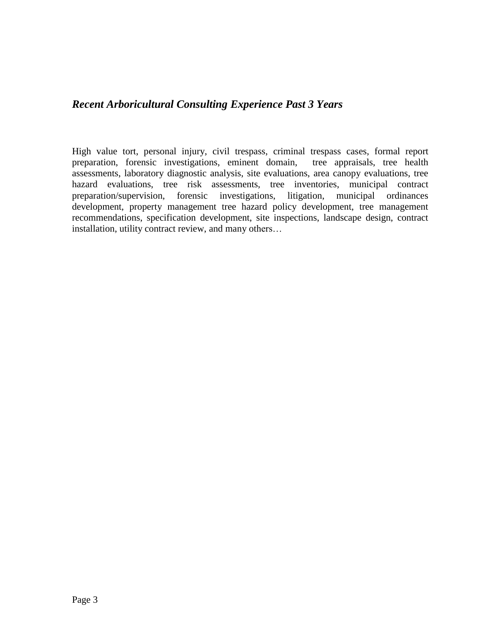# *Recent Arboricultural Consulting Experience Past 3 Years*

High value tort, personal injury, civil trespass, criminal trespass cases, formal report preparation, forensic investigations, eminent domain, tree appraisals, tree health assessments, laboratory diagnostic analysis, site evaluations, area canopy evaluations, tree hazard evaluations, tree risk assessments, tree inventories, municipal contract preparation/supervision, forensic investigations, litigation, municipal ordinances development, property management tree hazard policy development, tree management recommendations, specification development, site inspections, landscape design, contract installation, utility contract review, and many others…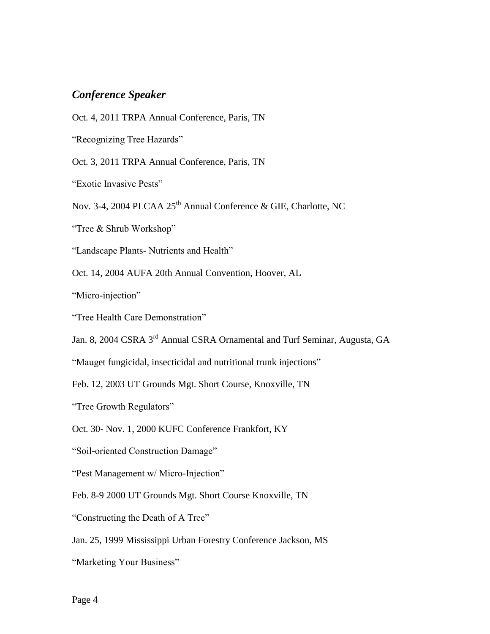## *Conference Speaker*

Oct. 4, 2011 TRPA Annual Conference, Paris, TN

"Recognizing Tree Hazards"

Oct. 3, 2011 TRPA Annual Conference, Paris, TN

"Exotic Invasive Pests"

Nov. 3-4, 2004 PLCAA 25<sup>th</sup> Annual Conference & GIE, Charlotte, NC

"Tree & Shrub Workshop"

"Landscape Plants- Nutrients and Health"

Oct. 14, 2004 AUFA 20th Annual Convention, Hoover, AL

"Micro-injection"

"Tree Health Care Demonstration"

Jan. 8, 2004 CSRA 3rd Annual CSRA Ornamental and Turf Seminar, Augusta, GA

"Mauget fungicidal, insecticidal and nutritional trunk injections"

Feb. 12, 2003 UT Grounds Mgt. Short Course, Knoxville, TN

"Tree Growth Regulators"

Oct. 30- Nov. 1, 2000 KUFC Conference Frankfort, KY

"Soil-oriented Construction Damage"

"Pest Management w/ Micro-Injection"

Feb. 8-9 2000 UT Grounds Mgt. Short Course Knoxville, TN

"Constructing the Death of A Tree"

Jan. 25, 1999 Mississippi Urban Forestry Conference Jackson, MS

"Marketing Your Business"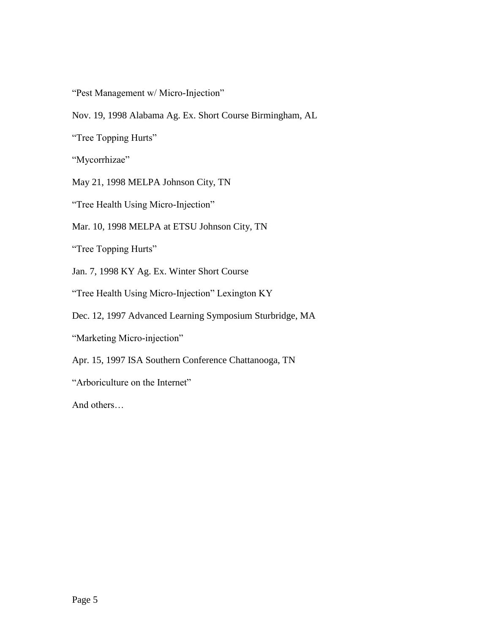"Pest Management w/ Micro-Injection"

Nov. 19, 1998 Alabama Ag. Ex. Short Course Birmingham, AL

"Tree Topping Hurts"

"Mycorrhizae"

May 21, 1998 MELPA Johnson City, TN

"Tree Health Using Micro-Injection"

Mar. 10, 1998 MELPA at ETSU Johnson City, TN

"Tree Topping Hurts"

Jan. 7, 1998 KY Ag. Ex. Winter Short Course

"Tree Health Using Micro-Injection" Lexington KY

Dec. 12, 1997 Advanced Learning Symposium Sturbridge, MA

"Marketing Micro-injection"

Apr. 15, 1997 ISA Southern Conference Chattanooga, TN

"Arboriculture on the Internet"

And others…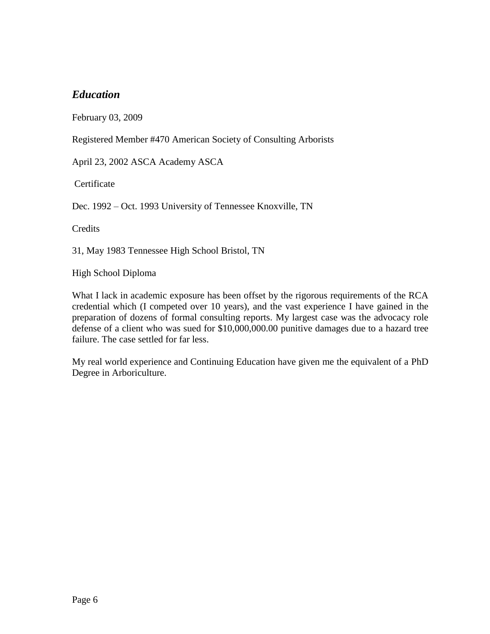# *Education*

February 03, 2009

Registered Member #470 American Society of Consulting Arborists

April 23, 2002 ASCA Academy ASCA

**Certificate** 

Dec. 1992 – Oct. 1993 University of Tennessee Knoxville, TN

**Credits** 

31, May 1983 Tennessee High School Bristol, TN

High School Diploma

What I lack in academic exposure has been offset by the rigorous requirements of the RCA credential which (I competed over 10 years), and the vast experience I have gained in the preparation of dozens of formal consulting reports. My largest case was the advocacy role defense of a client who was sued for \$10,000,000.00 punitive damages due to a hazard tree failure. The case settled for far less.

My real world experience and Continuing Education have given me the equivalent of a PhD Degree in Arboriculture.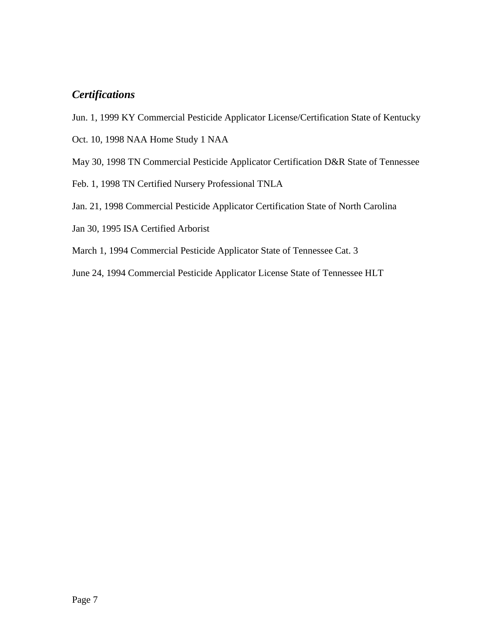# *Certifications*

- Jun. 1, 1999 KY Commercial Pesticide Applicator License/Certification State of Kentucky
- Oct. 10, 1998 NAA Home Study 1 NAA
- May 30, 1998 TN Commercial Pesticide Applicator Certification D&R State of Tennessee
- Feb. 1, 1998 TN Certified Nursery Professional TNLA
- Jan. 21, 1998 Commercial Pesticide Applicator Certification State of North Carolina
- Jan 30, 1995 ISA Certified Arborist
- March 1, 1994 Commercial Pesticide Applicator State of Tennessee Cat. 3
- June 24, 1994 Commercial Pesticide Applicator License State of Tennessee HLT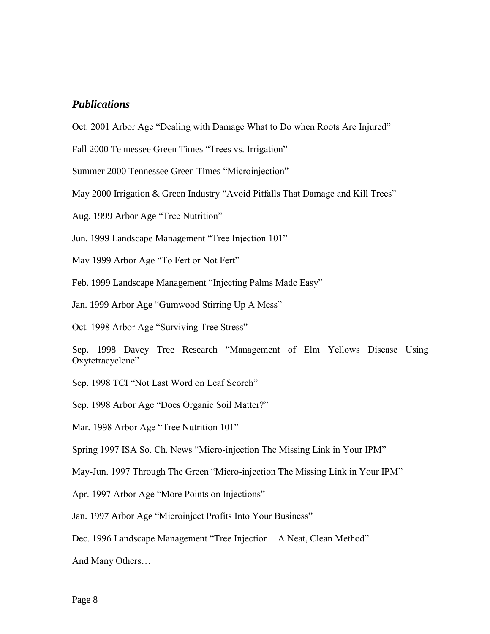### *Publications*

Oct. 2001 Arbor Age "Dealing with Damage What to Do when Roots Are Injured"

Fall 2000 Tennessee Green Times "Trees vs. Irrigation"

Summer 2000 Tennessee Green Times "Microinjection"

May 2000 Irrigation & Green Industry "Avoid Pitfalls That Damage and Kill Trees"

Aug. 1999 Arbor Age "Tree Nutrition"

Jun. 1999 Landscape Management "Tree Injection 101"

May 1999 Arbor Age "To Fert or Not Fert"

Feb. 1999 Landscape Management "Injecting Palms Made Easy"

Jan. 1999 Arbor Age "Gumwood Stirring Up A Mess"

Oct. 1998 Arbor Age "Surviving Tree Stress"

Sep. 1998 Davey Tree Research "Management of Elm Yellows Disease Using Oxytetracyclene"

Sep. 1998 TCI "Not Last Word on Leaf Scorch"

Sep. 1998 Arbor Age "Does Organic Soil Matter?"

Mar. 1998 Arbor Age "Tree Nutrition 101"

Spring 1997 ISA So. Ch. News "Micro-injection The Missing Link in Your IPM"

May-Jun. 1997 Through The Green "Micro-injection The Missing Link in Your IPM"

Apr. 1997 Arbor Age "More Points on Injections"

Jan. 1997 Arbor Age "Microinject Profits Into Your Business"

Dec. 1996 Landscape Management "Tree Injection – A Neat, Clean Method"

And Many Others…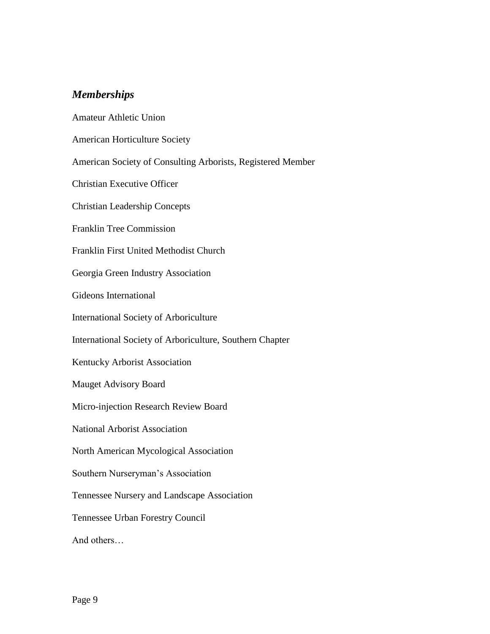# *Memberships*

Amateur Athletic Union American Horticulture Society American Society of Consulting Arborists, Registered Member Christian Executive Officer Christian Leadership Concepts Franklin Tree Commission Franklin First United Methodist Church Georgia Green Industry Association Gideons International International Society of Arboriculture International Society of Arboriculture, Southern Chapter Kentucky Arborist Association Mauget Advisory Board Micro-injection Research Review Board National Arborist Association North American Mycological Association Southern Nurseryman's Association Tennessee Nursery and Landscape Association Tennessee Urban Forestry Council And others…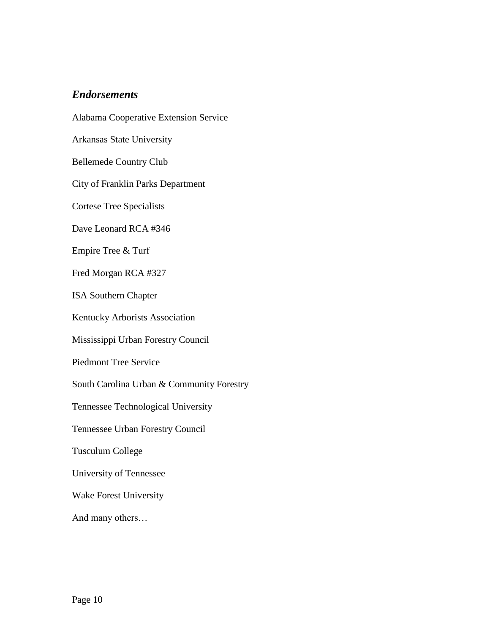## *Endorsements*

Alabama Cooperative Extension Service Arkansas State University Bellemede Country Club City of Franklin Parks Department Cortese Tree Specialists Dave Leonard RCA #346 Empire Tree & Turf Fred Morgan RCA #327 ISA Southern Chapter Kentucky Arborists Association Mississippi Urban Forestry Council Piedmont Tree Service South Carolina Urban & Community Forestry Tennessee Technological University Tennessee Urban Forestry Council Tusculum College University of Tennessee Wake Forest University And many others…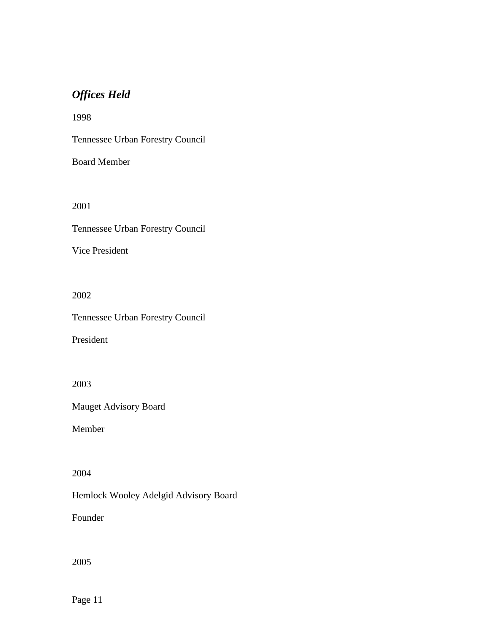# *Offices Held*

1998

Tennessee Urban Forestry Council

Board Member

2001

Tennessee Urban Forestry Council

Vice President

2002

Tennessee Urban Forestry Council

President

2003

Mauget Advisory Board

Member

2004

Hemlock Wooley Adelgid Advisory Board

Founder

2005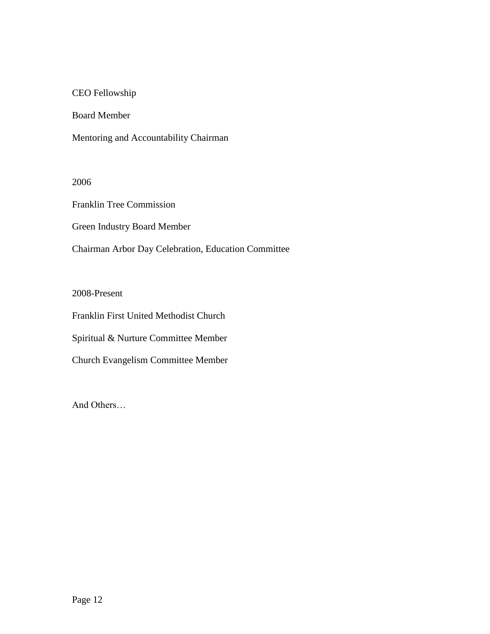### CEO Fellowship

Board Member

Mentoring and Accountability Chairman

2006

Franklin Tree Commission

Green Industry Board Member

Chairman Arbor Day Celebration, Education Committee

2008-Present

Franklin First United Methodist Church

Spiritual & Nurture Committee Member

Church Evangelism Committee Member

And Others…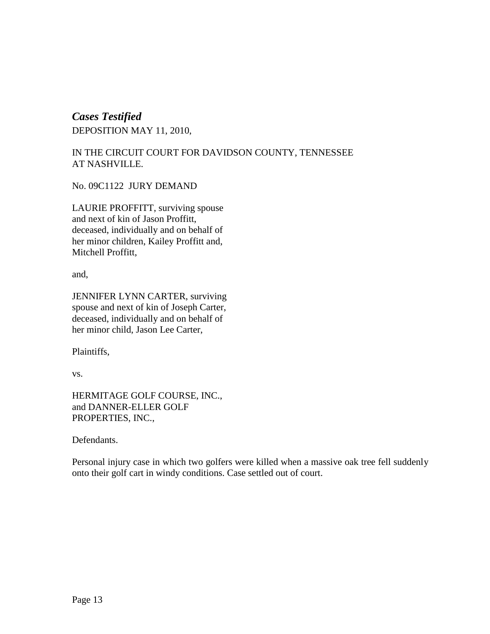# *Cases Testified* DEPOSITION MAY 11, 2010,

## IN THE CIRCUIT COURT FOR DAVIDSON COUNTY, TENNESSEE AT NASHVILLE.

No. 09C1122 JURY DEMAND

LAURIE PROFFITT, surviving spouse and next of kin of Jason Proffitt, deceased, individually and on behalf of her minor children, Kailey Proffitt and, Mitchell Proffitt,

and,

JENNIFER LYNN CARTER, surviving spouse and next of kin of Joseph Carter, deceased, individually and on behalf of her minor child, Jason Lee Carter,

Plaintiffs,

vs.

HERMITAGE GOLF COURSE, INC., and DANNER-ELLER GOLF PROPERTIES, INC.,

Defendants.

Personal injury case in which two golfers were killed when a massive oak tree fell suddenly onto their golf cart in windy conditions. Case settled out of court.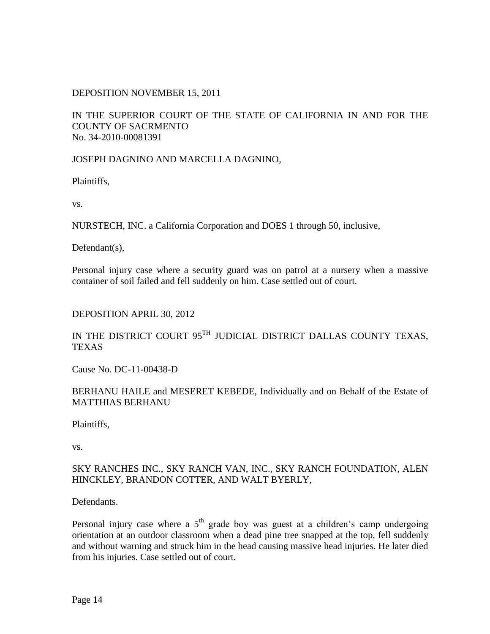### DEPOSITION NOVEMBER 15, 2011

### IN THE SUPERIOR COURT OF THE STATE OF CALIFORNIA IN AND FOR THE COUNTY OF SACRMENTO No. 34-2010-00081391

JOSEPH DAGNINO AND MARCELLA DAGNINO,

Plaintiffs,

vs.

NURSTECH, INC. a California Corporation and DOES 1 through 50, inclusive,

Defendant(s),

Personal injury case where a security guard was on patrol at a nursery when a massive container of soil failed and fell suddenly on him. Case settled out of court.

#### DEPOSITION APRIL 30, 2012

## IN THE DISTRICT COURT 95<sup>TH</sup> JUDICIAL DISTRICT DALLAS COUNTY TEXAS, TEXAS

Cause No. DC-11-00438-D

### BERHANU HAILE and MESERET KEBEDE, Individually and on Behalf of the Estate of MATTHIAS BERHANU

Plaintiffs,

vs.

### SKY RANCHES INC., SKY RANCH VAN, INC., SKY RANCH FOUNDATION, ALEN HINCKLEY, BRANDON COTTER, AND WALT BYERLY,

Defendants.

Personal injury case where a  $5<sup>th</sup>$  grade boy was guest at a children's camp undergoing orientation at an outdoor classroom when a dead pine tree snapped at the top, fell suddenly and without warning and struck him in the head causing massive head injuries. He later died from his injuries. Case settled out of court.